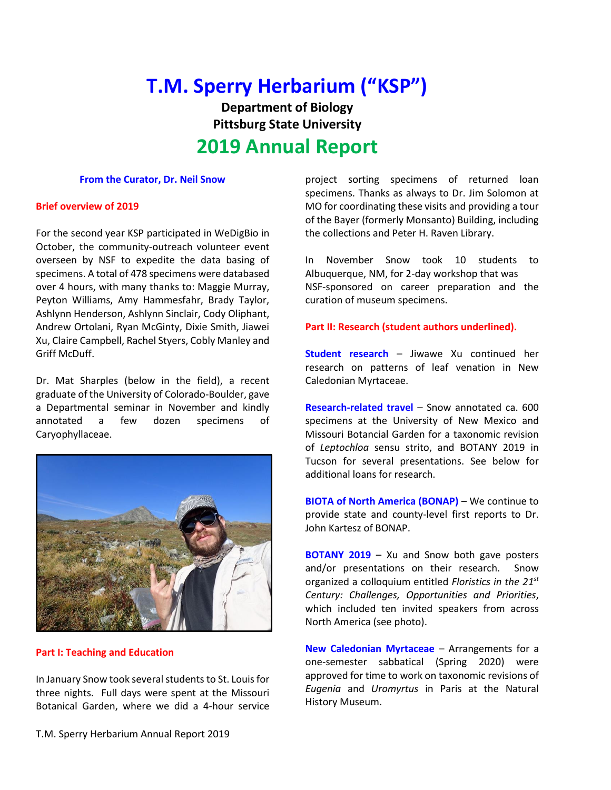# **T.M. Sperry Herbarium ("KSP")**

**Department of Biology Pittsburg State University**

# **2019 Annual Report**

#### **From the Curator, Dr. Neil Snow**

#### **Brief overview of 2019**

For the second year KSP participated in WeDigBio in October, the community-outreach volunteer event overseen by NSF to expedite the data basing of specimens. A total of 478 specimens were databased over 4 hours, with many thanks to: Maggie Murray, Peyton Williams, Amy Hammesfahr, Brady Taylor, Ashlynn Henderson, Ashlynn Sinclair, Cody Oliphant, Andrew Ortolani, Ryan McGinty, Dixie Smith, Jiawei Xu, Claire Campbell, Rachel Styers, Cobly Manley and Griff McDuff.

Dr. Mat Sharples (below in the field), a recent graduate of the University of Colorado-Boulder, gave a Departmental seminar in November and kindly annotated a few dozen specimens of Caryophyllaceae.



#### **Part I: Teaching and Education**

In January Snow took several students to St. Louis for three nights. Full days were spent at the Missouri Botanical Garden, where we did a 4-hour service project sorting specimens of returned loan specimens. Thanks as always to Dr. Jim Solomon at MO for coordinating these visits and providing a tour of the Bayer (formerly Monsanto) Building, including the collections and Peter H. Raven Library.

In November Snow took 10 students to Albuquerque, NM, for 2-day workshop that was NSF-sponsored on career preparation and the curation of museum specimens.

#### **Part II: Research (student authors underlined).**

**Student research** – Jiwawe Xu continued her research on patterns of leaf venation in New Caledonian Myrtaceae.

**Research-related travel** – Snow annotated ca. 600 specimens at the University of New Mexico and Missouri Botancial Garden for a taxonomic revision of *Leptochloa* sensu strito, and BOTANY 2019 in Tucson for several presentations. See below for additional loans for research.

**BIOTA of North America (BONAP)** – We continue to provide state and county-level first reports to Dr. John Kartesz of BONAP.

**BOTANY 2019** – Xu and Snow both gave posters and/or presentations on their research. Snow organized a colloquium entitled *Floristics in the 21st Century: Challenges, Opportunities and Priorities*, which included ten invited speakers from across North America (see photo).

**New Caledonian Myrtaceae** – Arrangements for a one-semester sabbatical (Spring 2020) were approved for time to work on taxonomic revisions of *Eugenia* and *Uromyrtus* in Paris at the Natural History Museum.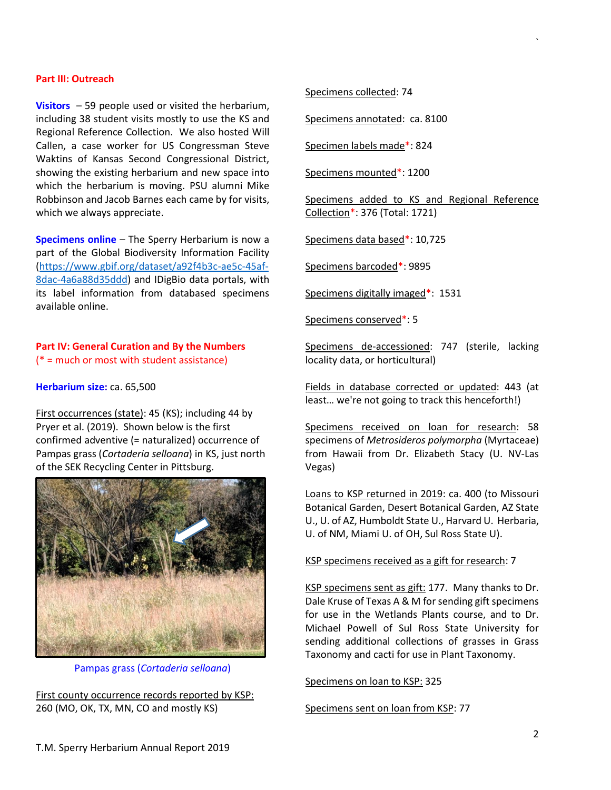#### **Part III: Outreach**

**Visitors** – 59 people used or visited the herbarium, including 38 student visits mostly to use the KS and Regional Reference Collection. We also hosted Will Callen, a case worker for US Congressman Steve Waktins of Kansas Second Congressional District, showing the existing herbarium and new space into which the herbarium is moving. PSU alumni Mike Robbinson and Jacob Barnes each came by for visits, which we always appreciate.

**Specimens online** – The Sperry Herbarium is now a part of the Global Biodiversity Information Facility [\(https://www.gbif.org/dataset/a92f4b3c-ae5c-45af-](https://www.gbif.org/dataset/a92f4b3c-ae5c-45af-8dac-4a6a88d35ddd)[8dac-4a6a88d35ddd\)](https://www.gbif.org/dataset/a92f4b3c-ae5c-45af-8dac-4a6a88d35ddd) and IDigBio data portals, with its label information from databased specimens available online.

# **Part IV: General Curation and By the Numbers**

(\* = much or most with student assistance)

**Herbarium size:** ca. 65,500

First occurrences (state): 45 (KS); including 44 by Pryer et al. (2019). Shown below is the first confirmed adventive (= naturalized) occurrence of Pampas grass (*Cortaderia selloana*) in KS, just north of the SEK Recycling Center in Pittsburg.



Pampas grass (*Cortaderia selloana*)

First county occurrence records reported by KSP: 260 (MO, OK, TX, MN, CO and mostly KS)

Specimens collected: 74

Specimens annotated: ca. 8100

Specimen labels made\*: 824

Specimens mounted\*: 1200

Specimens added to KS and Regional Reference Collection\*: 376 (Total: 1721)

Specimens data based\*: 10,725

Specimens barcoded\*: 9895

Specimens digitally imaged\*: 1531

Specimens conserved\*: 5

Specimens de-accessioned: 747 (sterile, lacking locality data, or horticultural)

Fields in database corrected or updated: 443 (at least… we're not going to track this henceforth!)

Specimens received on loan for research: 58 specimens of *Metrosideros polymorpha* (Myrtaceae) from Hawaii from Dr. Elizabeth Stacy (U. NV-Las Vegas)

Loans to KSP returned in 2019: ca. 400 (to Missouri Botanical Garden, Desert Botanical Garden, AZ State U., U. of AZ, Humboldt State U., Harvard U. Herbaria, U. of NM, Miami U. of OH, Sul Ross State U).

# KSP specimens received as a gift for research: 7

KSP specimens sent as gift: 177. Many thanks to Dr. Dale Kruse of Texas A & M for sending gift specimens for use in the Wetlands Plants course, and to Dr. Michael Powell of Sul Ross State University for sending additional collections of grasses in Grass Taxonomy and cacti for use in Plant Taxonomy.

Specimens on loan to KSP: 325

Specimens sent on loan from KSP: 77

`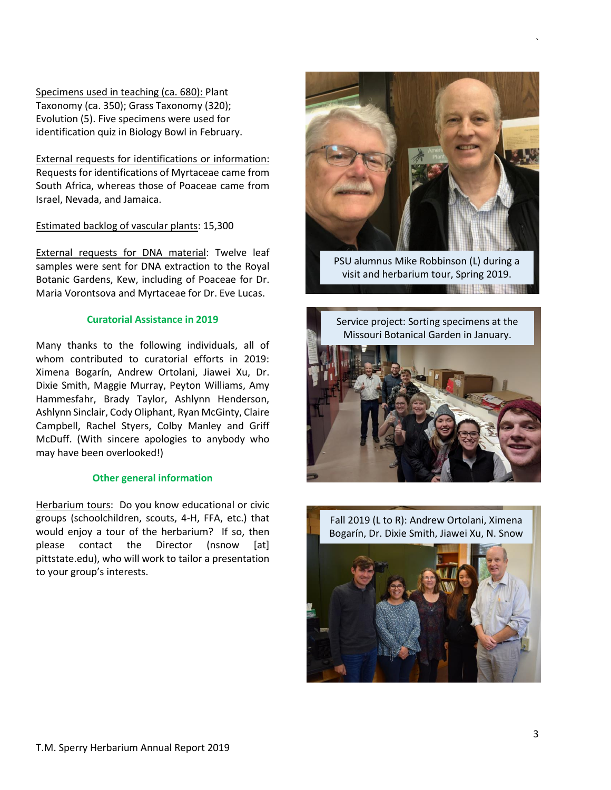Specimens used in teaching (ca. 680): Plant Taxonomy (ca. 350); Grass Taxonomy (320); Evolution (5). Five specimens were used for identification quiz in Biology Bowl in February.

External requests for identifications or information: Requests for identifications of Myrtaceae came from South Africa, whereas those of Poaceae came from Israel, Nevada, and Jamaica.

## Estimated backlog of vascular plants: 15,300

External requests for DNA material: Twelve leaf samples were sent for DNA extraction to the Royal Botanic Gardens, Kew, including of Poaceae for Dr. Maria Vorontsova and Myrtaceae for Dr. Eve Lucas.

# **Curatorial Assistance in 2019**

Many thanks to the following individuals, all of whom contributed to curatorial efforts in 2019: Ximena Bogarín, Andrew Ortolani, Jiawei Xu, Dr. Dixie Smith, Maggie Murray, Peyton Williams, Amy Hammesfahr, Brady Taylor, Ashlynn Henderson, Ashlynn Sinclair, Cody Oliphant, Ryan McGinty, Claire Campbell, Rachel Styers, Colby Manley and Griff McDuff. (With sincere apologies to anybody who may have been overlooked!)

### **Other general information**

Herbarium tours: Do you know educational or civic groups (schoolchildren, scouts, 4-H, FFA, etc.) that would enjoy a tour of the herbarium? If so, then please contact the Director (nsnow [at] pittstate.edu), who will work to tailor a presentation to your group's interests.



`

PSU alumnus Mike Robbinson (L) during a visit and herbarium tour, Spring 2019.

**THE HITCH THEFT**